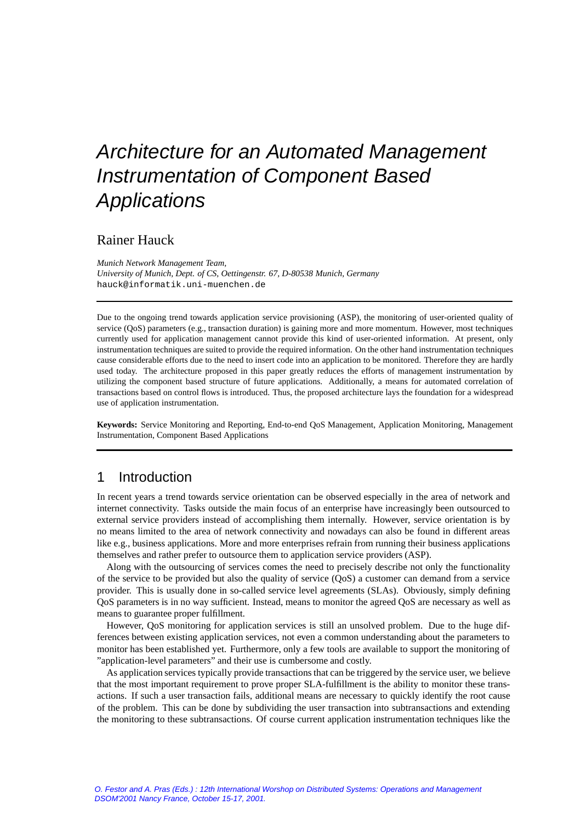# Rainer Hauck

*Munich Network Management Team, University of Munich, Dept. of CS, Oettingenstr. 67, D-80538 Munich, Germany* hauck@informatik.uni-muenchen.de

Due to the ongoing trend towards application service provisioning (ASP), the monitoring of user-oriented quality of service (QoS) parameters (e.g., transaction duration) is gaining more and more momentum. However, most techniques currently used for application management cannot provide this kind of user-oriented information. At present, only instrumentation techniques are suited to provide the required information. On the other hand instrumentation techniques cause considerable efforts due to the need to insert code into an application to be monitored. Therefore they are hardly used today. The architecture proposed in this paper greatly reduces the efforts of management instrumentation by utilizing the component based structure of future applications. Additionally, a means for automated correlation of transactions based on control flows is introduced. Thus, the proposed architecture lays the foundation for a widespread use of application instrumentation.

**Keywords:** Service Monitoring and Reporting, End-to-end QoS Management, Application Monitoring, Management Instrumentation, Component Based Applications

# 1 Introduction

In recent years a trend towards service orientation can be observed especially in the area of network and internet connectivity. Tasks outside the main focus of an enterprise have increasingly been outsourced to external service providers instead of accomplishing them internally. However, service orientation is by no means limited to the area of network connectivity and nowadays can also be found in different areas like e.g., business applications. More and more enterprises refrain from running their business applications themselves and rather prefer to outsource them to application service providers (ASP).

Along with the outsourcing of services comes the need to precisely describe not only the functionality of the service to be provided but also the quality of service (QoS) a customer can demand from a service provider. This is usually done in so-called service level agreements (SLAs). Obviously, simply defining QoS parameters is in no way sufficient. Instead, means to monitor the agreed QoS are necessary as well as means to guarantee proper fulfillment.

However, QoS monitoring for application services is still an unsolved problem. Due to the huge differences between existing application services, not even a common understanding about the parameters to monitor has been established yet. Furthermore, only a few tools are available to support the monitoring of "application-level parameters" and their use is cumbersome and costly.

As application services typically provide transactions that can be triggered by the service user, we believe that the most important requirement to prove proper SLA-fulfillment is the ability to monitor these transactions. If such a user transaction fails, additional means are necessary to quickly identify the root cause of the problem. This can be done by subdividing the user transaction into subtransactions and extending the monitoring to these subtransactions. Of course current application instrumentation techniques like the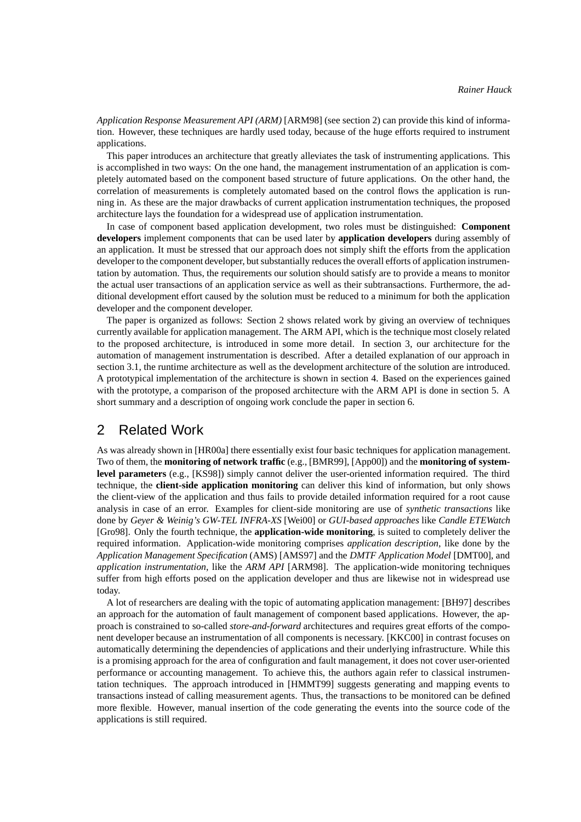*Application Response Measurement API (ARM)* [ARM98] (see section 2) can provide this kind of information. However, these techniques are hardly used today, because of the huge efforts required to instrument applications.

This paper introduces an architecture that greatly alleviates the task of instrumenting applications. This is accomplished in two ways: On the one hand, the management instrumentation of an application is completely automated based on the component based structure of future applications. On the other hand, the correlation of measurements is completely automated based on the control flows the application is running in. As these are the major drawbacks of current application instrumentation techniques, the proposed architecture lays the foundation for a widespread use of application instrumentation.

In case of component based application development, two roles must be distinguished: **Component developers** implement components that can be used later by **application developers** during assembly of an application. It must be stressed that our approach does not simply shift the efforts from the application developer to the component developer, but substantially reduces the overall efforts of application instrumentation by automation. Thus, the requirements our solution should satisfy are to provide a means to monitor the actual user transactions of an application service as well as their subtransactions. Furthermore, the additional development effort caused by the solution must be reduced to a minimum for both the application developer and the component developer.

The paper is organized as follows: Section 2 shows related work by giving an overview of techniques currently available for application management. The ARM API, which is the technique most closely related to the proposed architecture, is introduced in some more detail. In section 3, our architecture for the automation of management instrumentation is described. After a detailed explanation of our approach in section 3.1, the runtime architecture as well as the development architecture of the solution are introduced. A prototypical implementation of the architecture is shown in section 4. Based on the experiences gained with the prototype, a comparison of the proposed architecture with the ARM API is done in section 5. A short summary and a description of ongoing work conclude the paper in section 6.

# 2 Related Work

As was already shown in [HR00a] there essentially exist four basic techniques for application management. Two of them, the **monitoring of network traffic** (e.g., [BMR99], [App00]) and the **monitoring of systemlevel parameters** (e.g., [KS98]) simply cannot deliver the user-oriented information required. The third technique, the **client-side application monitoring** can deliver this kind of information, but only shows the client-view of the application and thus fails to provide detailed information required for a root cause analysis in case of an error. Examples for client-side monitoring are use of *synthetic transactions* like done by *Geyer & Weinig's GW-TEL INFRA-XS* [Wei00] or *GUI-based approaches* like *Candle ETEWatch* [Gro98]. Only the fourth technique, the **application-wide monitoring**, is suited to completely deliver the required information. Application-wide monitoring comprises *application description*, like done by the *Application Management Specification* (AMS) [AMS97] and the *DMTF Application Model* [DMT00], and *application instrumentation*, like the *ARM API* [ARM98]. The application-wide monitoring techniques suffer from high efforts posed on the application developer and thus are likewise not in widespread use today.

A lot of researchers are dealing with the topic of automating application management: [BH97] describes an approach for the automation of fault management of component based applications. However, the approach is constrained to so-called *store-and-forward* architectures and requires great efforts of the component developer because an instrumentation of all components is necessary. [KKC00] in contrast focuses on automatically determining the dependencies of applications and their underlying infrastructure. While this is a promising approach for the area of configuration and fault management, it does not cover user-oriented performance or accounting management. To achieve this, the authors again refer to classical instrumentation techniques. The approach introduced in [HMMT99] suggests generating and mapping events to transactions instead of calling measurement agents. Thus, the transactions to be monitored can be defined more flexible. However, manual insertion of the code generating the events into the source code of the applications is still required.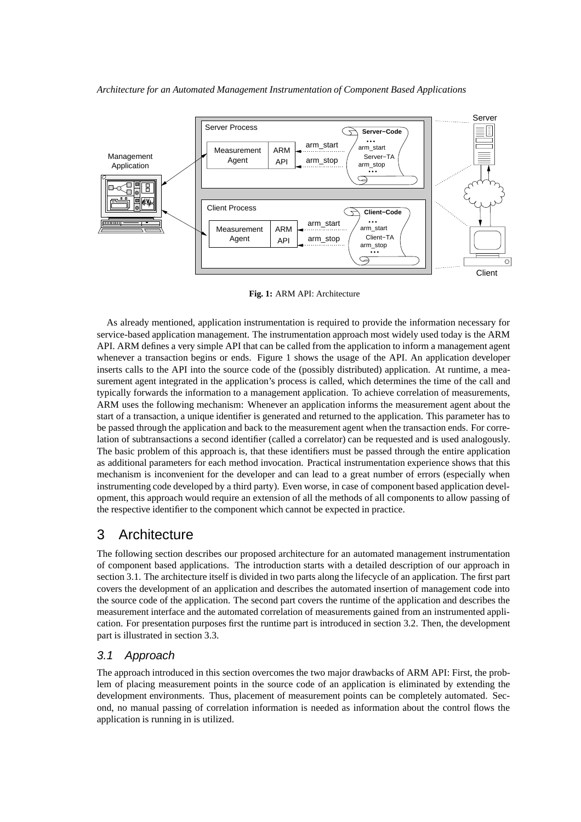

**Fig. 1:** ARM API: Architecture

As already mentioned, application instrumentation is required to provide the information necessary for service-based application management. The instrumentation approach most widely used today is the ARM API. ARM defines a very simple API that can be called from the application to inform a management agent whenever a transaction begins or ends. Figure 1 shows the usage of the API. An application developer inserts calls to the API into the source code of the (possibly distributed) application. At runtime, a measurement agent integrated in the application's process is called, which determines the time of the call and typically forwards the information to a management application. To achieve correlation of measurements, ARM uses the following mechanism: Whenever an application informs the measurement agent about the start of a transaction, a unique identifier is generated and returned to the application. This parameter has to be passed through the application and back to the measurement agent when the transaction ends. For correlation of subtransactions a second identifier (called a correlator) can be requested and is used analogously. The basic problem of this approach is, that these identifiers must be passed through the entire application as additional parameters for each method invocation. Practical instrumentation experience shows that this mechanism is inconvenient for the developer and can lead to a great number of errors (especially when instrumenting code developed by a third party). Even worse, in case of component based application development, this approach would require an extension of all the methods of all components to allow passing of the respective identifier to the component which cannot be expected in practice.

# 3 Architecture

The following section describes our proposed architecture for an automated management instrumentation of component based applications. The introduction starts with a detailed description of our approach in section 3.1. The architecture itself is divided in two parts along the lifecycle of an application. The first part covers the development of an application and describes the automated insertion of management code into the source code of the application. The second part covers the runtime of the application and describes the measurement interface and the automated correlation of measurements gained from an instrumented application. For presentation purposes first the runtime part is introduced in section 3.2. Then, the development part is illustrated in section 3.3.

# 3.1 Approach

The approach introduced in this section overcomes the two major drawbacks of ARM API: First, the problem of placing measurement points in the source code of an application is eliminated by extending the development environments. Thus, placement of measurement points can be completely automated. Second, no manual passing of correlation information is needed as information about the control flows the application is running in is utilized.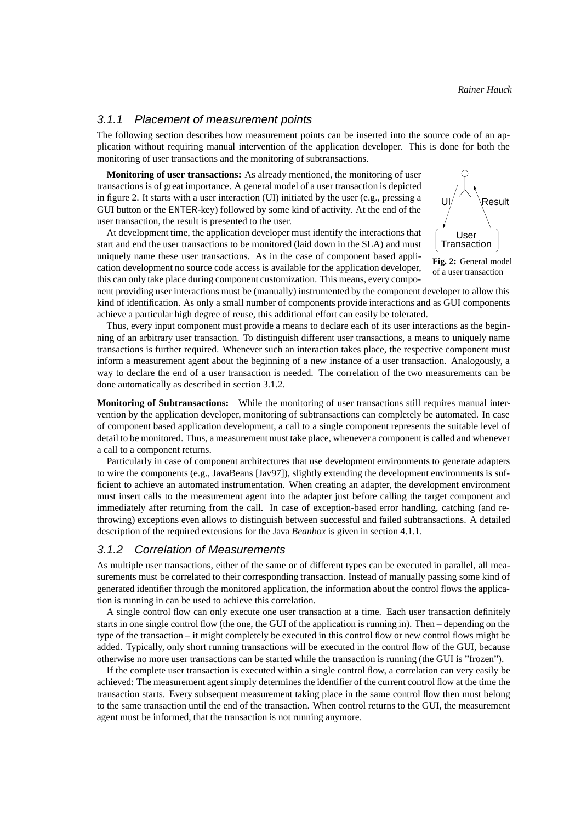#### 3.1.1 Placement of measurement points

The following section describes how measurement points can be inserted into the source code of an application without requiring manual intervention of the application developer. This is done for both the monitoring of user transactions and the monitoring of subtransactions.

**Monitoring of user transactions:** As already mentioned, the monitoring of user transactions is of great importance. A general model of a user transaction is depicted in figure 2. It starts with a user interaction (UI) initiated by the user (e.g., pressing a GUI button or the ENTER-key) followed by some kind of activity. At the end of the user transaction, the result is presented to the user.

At development time, the application developer must identify the interactions that start and end the user transactions to be monitored (laid down in the SLA) and must uniquely name these user transactions. As in the case of component based application development no source code access is available for the application developer, this can only take place during component customization. This means, every compo-



**Fig. 2:** General model of a user transaction

nent providing user interactions must be (manually) instrumented by the component developer to allow this kind of identification. As only a small number of components provide interactions and as GUI components achieve a particular high degree of reuse, this additional effort can easily be tolerated.

Thus, every input component must provide a means to declare each of its user interactions as the beginning of an arbitrary user transaction. To distinguish different user transactions, a means to uniquely name transactions is further required. Whenever such an interaction takes place, the respective component must inform a measurement agent about the beginning of a new instance of a user transaction. Analogously, a way to declare the end of a user transaction is needed. The correlation of the two measurements can be done automatically as described in section 3.1.2.

**Monitoring of Subtransactions:** While the monitoring of user transactions still requires manual intervention by the application developer, monitoring of subtransactions can completely be automated. In case of component based application development, a call to a single component represents the suitable level of detail to be monitored. Thus, a measurement must take place, whenever a component is called and whenever a call to a component returns.

Particularly in case of component architectures that use development environments to generate adapters to wire the components (e.g., JavaBeans [Jav97]), slightly extending the development environments is sufficient to achieve an automated instrumentation. When creating an adapter, the development environment must insert calls to the measurement agent into the adapter just before calling the target component and immediately after returning from the call. In case of exception-based error handling, catching (and rethrowing) exceptions even allows to distinguish between successful and failed subtransactions. A detailed description of the required extensions for the Java *Beanbox* is given in section 4.1.1.

#### 3.1.2 Correlation of Measurements

As multiple user transactions, either of the same or of different types can be executed in parallel, all measurements must be correlated to their corresponding transaction. Instead of manually passing some kind of generated identifier through the monitored application, the information about the control flows the application is running in can be used to achieve this correlation.

A single control flow can only execute one user transaction at a time. Each user transaction definitely starts in one single control flow (the one, the GUI of the application is running in). Then – depending on the type of the transaction – it might completely be executed in this control flow or new control flows might be added. Typically, only short running transactions will be executed in the control flow of the GUI, because otherwise no more user transactions can be started while the transaction is running (the GUI is "frozen").

If the complete user transaction is executed within a single control flow, a correlation can very easily be achieved: The measurement agent simply determines the identifier of the current control flow at the time the transaction starts. Every subsequent measurement taking place in the same control flow then must belong to the same transaction until the end of the transaction. When control returns to the GUI, the measurement agent must be informed, that the transaction is not running anymore.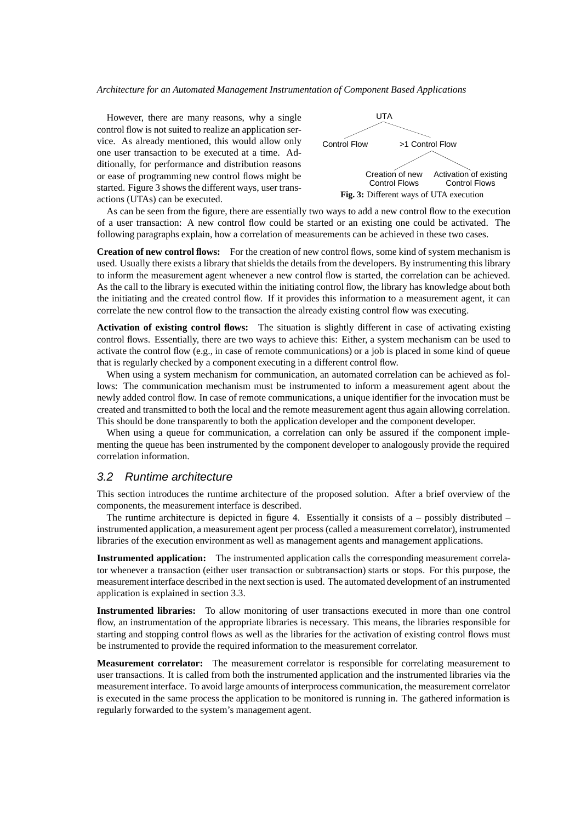However, there are many reasons, why a single control flow is not suited to realize an application service. As already mentioned, this would allow only one user transaction to be executed at a time. Additionally, for performance and distribution reasons or ease of programming new control flows might be started. Figure 3 shows the different ways, user transactions (UTAs) can be executed.



As can be seen from the figure, there are essentially two ways to add a new control flow to the execution of a user transaction: A new control flow could be started or an existing one could be activated. The following paragraphs explain, how a correlation of measurements can be achieved in these two cases.

**Creation of new control flows:** For the creation of new control flows, some kind of system mechanism is used. Usually there exists a library that shields the details from the developers. By instrumenting this library to inform the measurement agent whenever a new control flow is started, the correlation can be achieved. As the call to the library is executed within the initiating control flow, the library has knowledge about both the initiating and the created control flow. If it provides this information to a measurement agent, it can correlate the new control flow to the transaction the already existing control flow was executing.

**Activation of existing control flows:** The situation is slightly different in case of activating existing control flows. Essentially, there are two ways to achieve this: Either, a system mechanism can be used to activate the control flow (e.g., in case of remote communications) or a job is placed in some kind of queue that is regularly checked by a component executing in a different control flow.

When using a system mechanism for communication, an automated correlation can be achieved as follows: The communication mechanism must be instrumented to inform a measurement agent about the newly added control flow. In case of remote communications, a unique identifier for the invocation must be created and transmitted to both the local and the remote measurement agent thus again allowing correlation. This should be done transparently to both the application developer and the component developer.

When using a queue for communication, a correlation can only be assured if the component implementing the queue has been instrumented by the component developer to analogously provide the required correlation information.

#### 3.2 Runtime architecture

This section introduces the runtime architecture of the proposed solution. After a brief overview of the components, the measurement interface is described.

The runtime architecture is depicted in figure 4. Essentially it consists of  $a -$  possibly distributed – instrumented application, a measurement agent per process (called a measurement correlator), instrumented libraries of the execution environment as well as management agents and management applications.

**Instrumented application:** The instrumented application calls the corresponding measurement correlator whenever a transaction (either user transaction or subtransaction) starts or stops. For this purpose, the measurement interface described in the next section is used. The automated development of an instrumented application is explained in section 3.3.

**Instrumented libraries:** To allow monitoring of user transactions executed in more than one control flow, an instrumentation of the appropriate libraries is necessary. This means, the libraries responsible for starting and stopping control flows as well as the libraries for the activation of existing control flows must be instrumented to provide the required information to the measurement correlator.

**Measurement correlator:** The measurement correlator is responsible for correlating measurement to user transactions. It is called from both the instrumented application and the instrumented libraries via the measurement interface. To avoid large amounts of interprocess communication, the measurement correlator is executed in the same process the application to be monitored is running in. The gathered information is regularly forwarded to the system's management agent.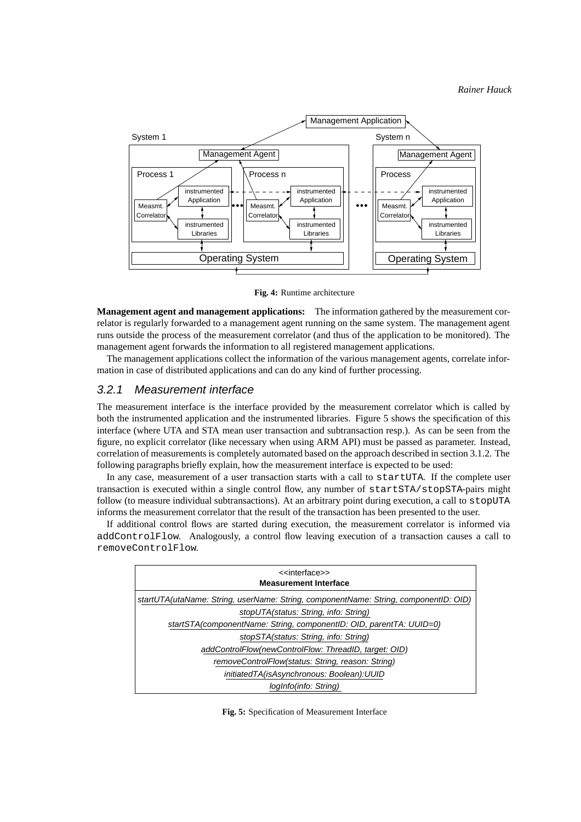

**Fig. 4:** Runtime architecture

**Management agent and management applications:** The information gathered by the measurement correlator is regularly forwarded to a management agent running on the same system. The management agent runs outside the process of the measurement correlator (and thus of the application to be monitored). The management agent forwards the information to all registered management applications.

The management applications collect the information of the various management agents, correlate information in case of distributed applications and can do any kind of further processing.

## 3.2.1 Measurement interface

The measurement interface is the interface provided by the measurement correlator which is called by both the instrumented application and the instrumented libraries. Figure 5 shows the specification of this interface (where UTA and STA mean user transaction and subtransaction resp.). As can be seen from the figure, no explicit correlator (like necessary when using ARM API) must be passed as parameter. Instead, correlation of measurements is completely automated based on the approach described in section 3.1.2. The following paragraphs briefly explain, how the measurement interface is expected to be used:

In any case, measurement of a user transaction starts with a call to startUTA. If the complete user transaction is executed within a single control flow, any number of startSTA/stopSTA-pairs might follow (to measure individual subtransactions). At an arbitrary point during execution, a call to stopUTA informs the measurement correlator that the result of the transaction has been presented to the user.

If additional control flows are started during execution, the measurement correlator is informed via addControlFlow. Analogously, a control flow leaving execution of a transaction causes a call to removeControlFlow.

| < <interface>&gt;</interface>                                                        |
|--------------------------------------------------------------------------------------|
| <b>Measurement Interface</b>                                                         |
| startUTA(utaName: String, userName: String, componentName: String, componentID: OID) |
| stopUTA(status: String, info: String)                                                |
| startSTA(componentName: String, componentID: OID, parentTA: UUID=0)                  |
| stopSTA(status: String, info: String)                                                |
| addControlFlow(newControlFlow: ThreadID, target: OID)                                |
| removeControlFlow(status: String, reason: String)                                    |
| initiatedTA(isAsynchronous: Boolean):UUID                                            |
| logInfo(info: String)                                                                |

**Fig. 5:** Specification of Measurement Interface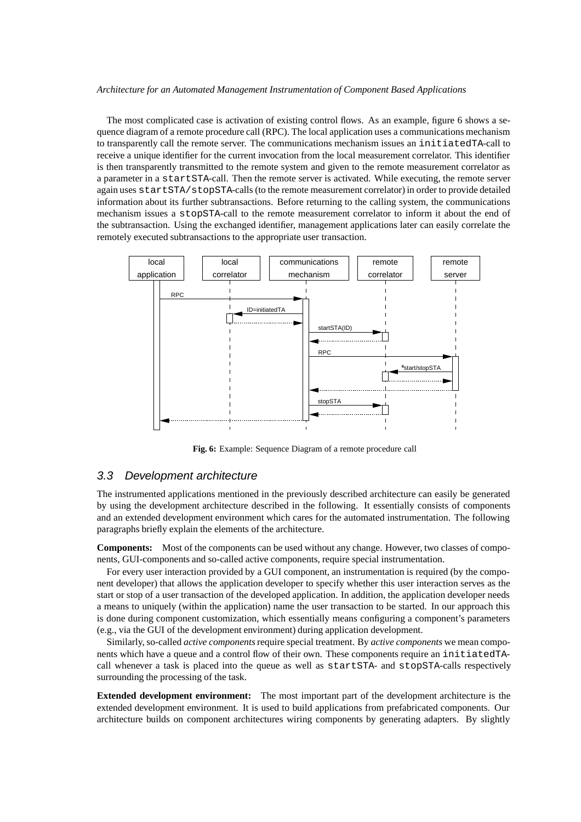The most complicated case is activation of existing control flows. As an example, figure 6 shows a sequence diagram of a remote procedure call (RPC). The local application uses a communications mechanism to transparently call the remote server. The communications mechanism issues an initiatedTA-call to receive a unique identifier for the current invocation from the local measurement correlator. This identifier is then transparently transmitted to the remote system and given to the remote measurement correlator as a parameter in a startSTA-call. Then the remote server is activated. While executing, the remote server again uses startSTA/stopSTA-calls (to the remote measurement correlator) in order to provide detailed information about its further subtransactions. Before returning to the calling system, the communications mechanism issues a stopSTA-call to the remote measurement correlator to inform it about the end of the subtransaction. Using the exchanged identifier, management applications later can easily correlate the remotely executed subtransactions to the appropriate user transaction.



**Fig. 6:** Example: Sequence Diagram of a remote procedure call

#### 3.3 Development architecture

The instrumented applications mentioned in the previously described architecture can easily be generated by using the development architecture described in the following. It essentially consists of components and an extended development environment which cares for the automated instrumentation. The following paragraphs briefly explain the elements of the architecture.

**Components:** Most of the components can be used without any change. However, two classes of components, GUI-components and so-called active components, require special instrumentation.

For every user interaction provided by a GUI component, an instrumentation is required (by the component developer) that allows the application developer to specify whether this user interaction serves as the start or stop of a user transaction of the developed application. In addition, the application developer needs a means to uniquely (within the application) name the user transaction to be started. In our approach this is done during component customization, which essentially means configuring a component's parameters (e.g., via the GUI of the development environment) during application development.

Similarly, so-called *active components*require special treatment. By *active components* we mean components which have a queue and a control flow of their own. These components require an initiatedTAcall whenever a task is placed into the queue as well as startSTA- and stopSTA-calls respectively surrounding the processing of the task.

**Extended development environment:** The most important part of the development architecture is the extended development environment. It is used to build applications from prefabricated components. Our architecture builds on component architectures wiring components by generating adapters. By slightly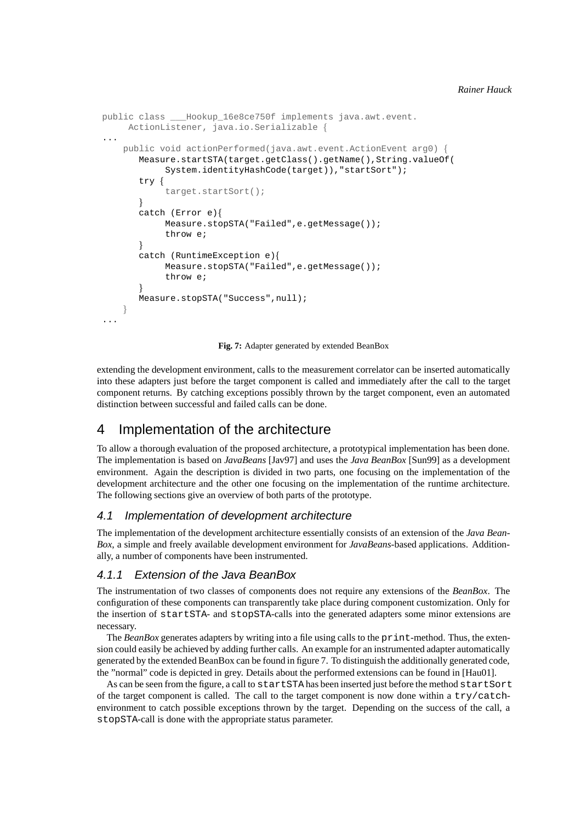```
public class ___Hookup_16e8ce750f implements java.awt.event.
     ActionListener, java.io.Serializable f
...
    public void actionPerformed(java.awt.event.ActionEvent arg0) {
       Measure.startSTA(target.getClass().getName(),String.valueOf(
            System.identityHashCode(target)),"startSort");
       try f
            target.startSort();
       \}catch (Error e)f
            Measure.stopSTA("Failed",e.getMessage());
            throw e;
       \}catch (RuntimeException e)f
            Measure.stopSTA("Failed",e.getMessage());
            throw e;
       \mathcal{E}Measure.stopSTA("Success",null);
    \}...
```
**Fig. 7:** Adapter generated by extended BeanBox

extending the development environment, calls to the measurement correlator can be inserted automatically into these adapters just before the target component is called and immediately after the call to the target component returns. By catching exceptions possibly thrown by the target component, even an automated distinction between successful and failed calls can be done.

# 4 Implementation of the architecture

To allow a thorough evaluation of the proposed architecture, a prototypical implementation has been done. The implementation is based on *JavaBeans* [Jav97] and uses the *Java BeanBox* [Sun99] as a development environment. Again the description is divided in two parts, one focusing on the implementation of the development architecture and the other one focusing on the implementation of the runtime architecture. The following sections give an overview of both parts of the prototype.

## 4.1 Implementation of development architecture

The implementation of the development architecture essentially consists of an extension of the *Java Bean-Box*, a simple and freely available development environment for *JavaBeans*-based applications. Additionally, a number of components have been instrumented.

## 4.1.1 Extension of the Java BeanBox

The instrumentation of two classes of components does not require any extensions of the *BeanBox*. The configuration of these components can transparently take place during component customization. Only for the insertion of startSTA- and stopSTA-calls into the generated adapters some minor extensions are necessary.

The *BeanBox* generates adapters by writing into a file using calls to the print-method. Thus, the extension could easily be achieved by adding further calls. An example for an instrumented adapter automatically generated by the extended BeanBox can be found in figure 7. To distinguish the additionally generated code, the "normal" code is depicted in grey. Details about the performed extensions can be found in [Hau01].

As can be seen from the figure, a call to startSTA has been inserted just before the method startSort of the target component is called. The call to the target component is now done within a try/catchenvironment to catch possible exceptions thrown by the target. Depending on the success of the call, a stopSTA-call is done with the appropriate status parameter.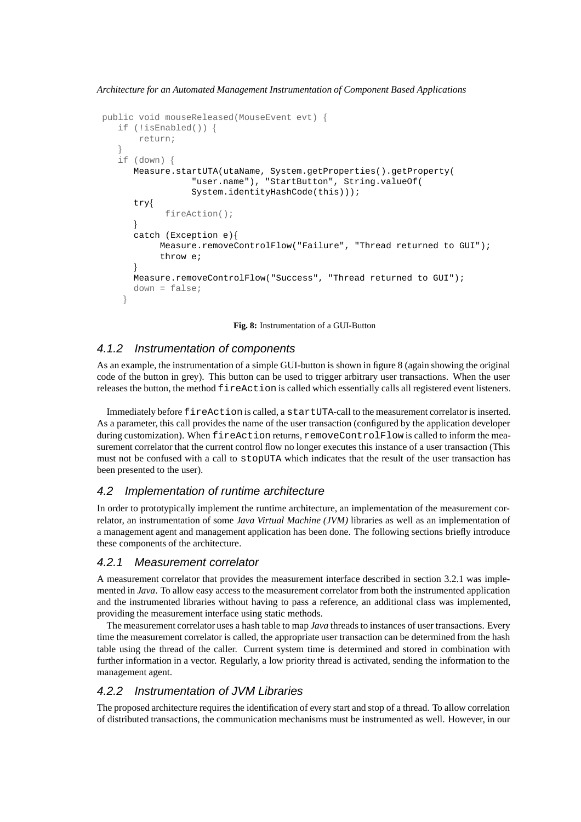*Architecture for an Automated Management Instrumentation of Component Based Applications*

```
public void mouseReleased(MouseEvent evt) f
   if (!isEnabled()) f
      return;
   \}if (down) f
      Measure.startUTA(utaName, System.getProperties().getProperty(
                "user.name"), "StartButton", String.valueOf(
                System.identityHashCode(this)));
      tryf
           fireAction();
      \}catch (Exception e) {
          Measure.removeControlFlow("Failure", "Thread returned to GUI");
          throw e;
      \}Measure.removeControlFlow("Success", "Thread returned to GUI");
      down = false;
    \}
```
**Fig. 8:** Instrumentation of a GUI-Button

## 4.1.2 Instrumentation of components

As an example, the instrumentation of a simple GUI-button is shown in figure 8 (again showing the original code of the button in grey). This button can be used to trigger arbitrary user transactions. When the user releases the button, the method fireAction is called which essentially calls all registered event listeners.

Immediately before fireAction is called, a startUTA-call to the measurement correlator is inserted. As a parameter, this call provides the name of the user transaction (configured by the application developer during customization). When fireAction returns, removeControlFlow is called to inform the measurement correlator that the current control flow no longer executes this instance of a user transaction (This must not be confused with a call to stopUTA which indicates that the result of the user transaction has been presented to the user).

# 4.2 Implementation of runtime architecture

In order to prototypically implement the runtime architecture, an implementation of the measurement correlator, an instrumentation of some *Java Virtual Machine (JVM)* libraries as well as an implementation of a management agent and management application has been done. The following sections briefly introduce these components of the architecture.

## 4.2.1 Measurement correlator

A measurement correlator that provides the measurement interface described in section 3.2.1 was implemented in *Java*. To allow easy access to the measurement correlator from both the instrumented application and the instrumented libraries without having to pass a reference, an additional class was implemented, providing the measurement interface using static methods.

The measurement correlator uses a hash table to map *Java* threads to instances of user transactions. Every time the measurement correlator is called, the appropriate user transaction can be determined from the hash table using the thread of the caller. Current system time is determined and stored in combination with further information in a vector. Regularly, a low priority thread is activated, sending the information to the management agent.

## 4.2.2 Instrumentation of JVM Libraries

The proposed architecture requires the identification of every start and stop of a thread. To allow correlation of distributed transactions, the communication mechanisms must be instrumented as well. However, in our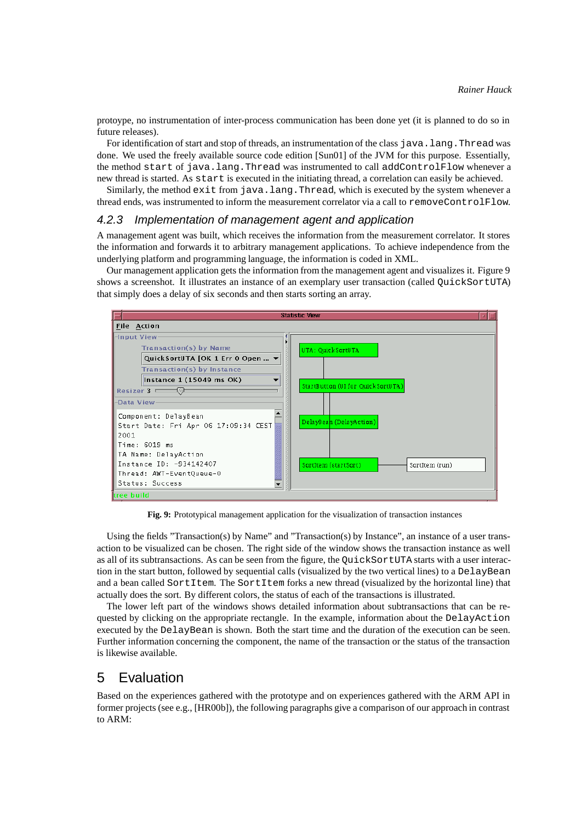protoype, no instrumentation of inter-process communication has been done yet (it is planned to do so in future releases).

For identification of start and stop of threads, an instrumentation of the class java. Lang. Thread was done. We used the freely available source code edition [Sun01] of the JVM for this purpose. Essentially, the method start of java.lang.Thread was instrumented to call addControlFlow whenever a new thread is started. As start is executed in the initiating thread, a correlation can easily be achieved.

Similarly, the method exit from java.lang.Thread, which is executed by the system whenever a thread ends, was instrumented to inform the measurement correlator via a call to removeControlFlow.

#### 4.2.3 Implementation of management agent and application

A management agent was built, which receives the information from the measurement correlator. It stores the information and forwards it to arbitrary management applications. To achieve independence from the underlying platform and programming language, the information is coded in XML.

Our management application gets the information from the management agent and visualizes it. Figure 9 shows a screenshot. It illustrates an instance of an exemplary user transaction (called QuickSortUTA) that simply does a delay of six seconds and then starts sorting an array.



**Fig. 9:** Prototypical management application for the visualization of transaction instances

Using the fields "Transaction(s) by Name" and "Transaction(s) by Instance", an instance of a user transaction to be visualized can be chosen. The right side of the window shows the transaction instance as well as all of its subtransactions. As can be seen from the figure, the QuickSortUTA starts with a user interaction in the start button, followed by sequential calls (visualized by the two vertical lines) to a DelayBean and a bean called SortItem. The SortItem forks a new thread (visualized by the horizontal line) that actually does the sort. By different colors, the status of each of the transactions is illustrated.

The lower left part of the windows shows detailed information about subtransactions that can be requested by clicking on the appropriate rectangle. In the example, information about the DelayAction executed by the DelayBean is shown. Both the start time and the duration of the execution can be seen. Further information concerning the component, the name of the transaction or the status of the transaction is likewise available.

# 5 Evaluation

Based on the experiences gathered with the prototype and on experiences gathered with the ARM API in former projects (see e.g., [HR00b]), the following paragraphs give a comparison of our approach in contrast to ARM: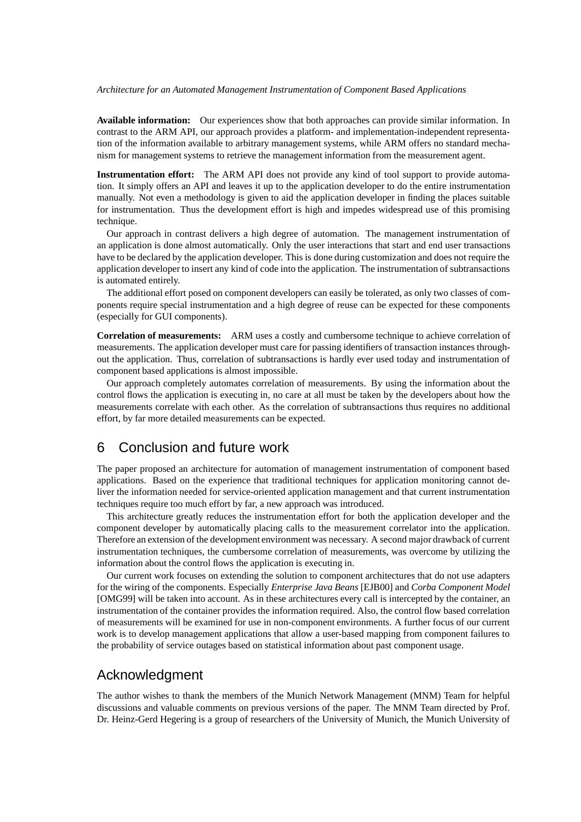**Available information:** Our experiences show that both approaches can provide similar information. In contrast to the ARM API, our approach provides a platform- and implementation-independent representation of the information available to arbitrary management systems, while ARM offers no standard mechanism for management systems to retrieve the management information from the measurement agent.

**Instrumentation effort:** The ARM API does not provide any kind of tool support to provide automation. It simply offers an API and leaves it up to the application developer to do the entire instrumentation manually. Not even a methodology is given to aid the application developer in finding the places suitable for instrumentation. Thus the development effort is high and impedes widespread use of this promising technique.

Our approach in contrast delivers a high degree of automation. The management instrumentation of an application is done almost automatically. Only the user interactions that start and end user transactions have to be declared by the application developer. This is done during customization and does not require the application developer to insert any kind of code into the application. The instrumentation of subtransactions is automated entirely.

The additional effort posed on component developers can easily be tolerated, as only two classes of components require special instrumentation and a high degree of reuse can be expected for these components (especially for GUI components).

**Correlation of measurements:** ARM uses a costly and cumbersome technique to achieve correlation of measurements. The application developer must care for passing identifiers of transaction instances throughout the application. Thus, correlation of subtransactions is hardly ever used today and instrumentation of component based applications is almost impossible.

Our approach completely automates correlation of measurements. By using the information about the control flows the application is executing in, no care at all must be taken by the developers about how the measurements correlate with each other. As the correlation of subtransactions thus requires no additional effort, by far more detailed measurements can be expected.

# 6 Conclusion and future work

The paper proposed an architecture for automation of management instrumentation of component based applications. Based on the experience that traditional techniques for application monitoring cannot deliver the information needed for service-oriented application management and that current instrumentation techniques require too much effort by far, a new approach was introduced.

This architecture greatly reduces the instrumentation effort for both the application developer and the component developer by automatically placing calls to the measurement correlator into the application. Therefore an extension of the development environment was necessary. A second major drawback of current instrumentation techniques, the cumbersome correlation of measurements, was overcome by utilizing the information about the control flows the application is executing in.

Our current work focuses on extending the solution to component architectures that do not use adapters for the wiring of the components. Especially *Enterprise Java Beans* [EJB00] and *Corba Component Model* [OMG99] will be taken into account. As in these architectures every call is intercepted by the container, an instrumentation of the container provides the information required. Also, the control flow based correlation of measurements will be examined for use in non-component environments. A further focus of our current work is to develop management applications that allow a user-based mapping from component failures to the probability of service outages based on statistical information about past component usage.

# Acknowledgment

The author wishes to thank the members of the Munich Network Management (MNM) Team for helpful discussions and valuable comments on previous versions of the paper. The MNM Team directed by Prof. Dr. Heinz-Gerd Hegering is a group of researchers of the University of Munich, the Munich University of